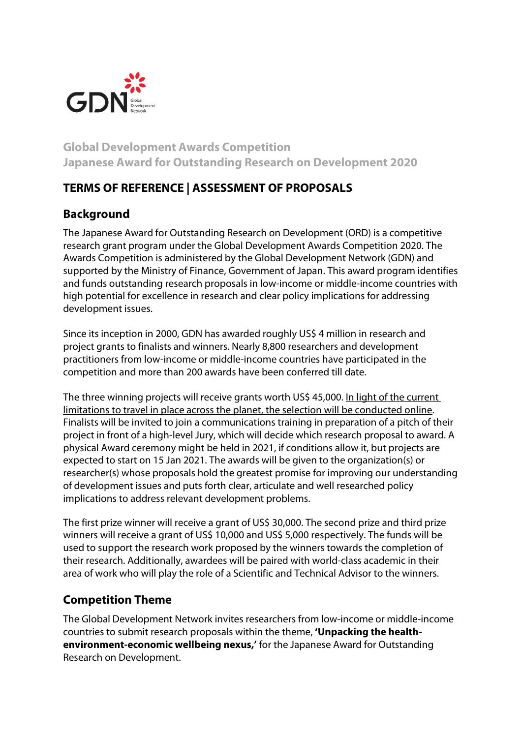

**Global Development Awards Competition Japanese Award for Outstanding Research on Development 2020**

# **TERMS OF REFERENCE | ASSESSMENT OF PROPOSALS**

## **Background**

The Japanese Award for Outstanding Research on Development (ORD) is a competitive research grant program under the Global Development Awards Competition 2020. The Awards Competition is administered by the Global Development Network (GDN) and supported by the Ministry of Finance, Government of Japan. This award program identifies and funds outstanding research proposals in low-income or middle-income countries with high potential for excellence in research and clear policy implications for addressing development issues.

Since its inception in 2000, GDN has awarded roughly US\$ 4 million in research and project grants to finalists and winners. Nearly 8,800 researchers and development practitioners from low-income or middle-income countries have participated in the competition and more than 200 awards have been conferred till date.

The three winning projects will receive grants worth US\$ 45,000. In light of the current limitations to travel in place across the planet, the selection will be conducted online. Finalists will be invited to join a communications training in preparation of a pitch of their project in front of a high-level Jury, which will decide which research proposal to award. A physical Award ceremony might be held in 2021, if conditions allow it, but projects are expected to start on 15 Jan 2021. The awards will be given to the organization(s) or researcher(s) whose proposals hold the greatest promise for improving our understanding of development issues and puts forth clear, articulate and well researched policy implications to address relevant development problems.

The first prize winner will receive a grant of US\$ 30,000. The second prize and third prize winners will receive a grant of US\$ 10,000 and US\$ 5,000 respectively. The funds will be used to support the research work proposed by the winners towards the completion of their research. Additionally, awardees will be paired with world-class academic in their area of work who will play the role of a Scientific and Technical Advisor to the winners.

### **Competition Theme**

The [Global Development Network](http://www.gdn.int/) invites researchers from low-income or middle-income countries to submit research proposals within the theme, **'Unpacking the healthenvironment-economic wellbeing nexus,'** for the [Japanese Award for Outstanding](http://www.gdn.int/global-development-awards-competition)  [Research on Development.](http://www.gdn.int/global-development-awards-competition)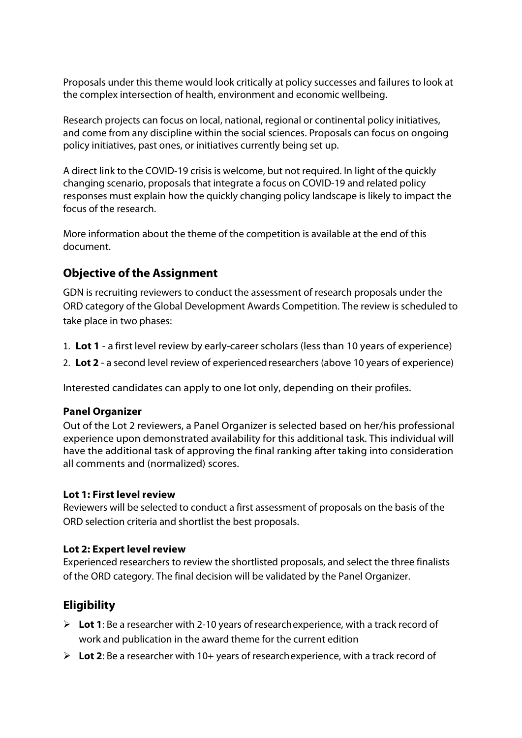Proposals under this theme would look critically at policy successes and failures to look at the complex intersection of health, environment and economic wellbeing.

Research projects can focus on local, national, regional or continental policy initiatives, and come from any discipline within the social sciences. Proposals can focus on ongoing policy initiatives, past ones, or initiatives currently being set up.

A direct link to the COVID-19 crisis is welcome, but not required. In light of the quickly changing scenario, proposals that integrate a focus on COVID-19 and related policy responses must explain how the quickly changing policy landscape is likely to impact the focus of the research.

More information about the theme of the competition is available at the end of this document.

## **Objective of the Assignment**

GDN is recruiting reviewers to conduct the assessment of research proposals under the ORD category of the Global Development Awards Competition. The review is scheduled to take place in two phases:

- 1. **Lot 1** a first level review by early-careerscholars (less than 10 years of experience)
- 2. Lot 2 a second level review of experienced researchers (above 10 years of experience)

Interested candidates can apply to one lot only, depending on their profiles.

#### **Panel Organizer**

Out of the Lot 2 reviewers, a Panel Organizer is selected based on her/his professional experience upon demonstrated availability for this additional task. This individual will have the additional task of approving the final ranking after taking into consideration all comments and (normalized) scores.

#### **Lot 1: First level review**

Reviewers will be selected to conduct a first assessment of proposals on the basis of the ORD selection criteria and shortlist the best proposals.

#### **Lot 2: Expert level review**

Experienced researchers to review the shortlisted proposals, and select the three finalists of the ORD category. The final decision will be validated by the Panel Organizer.

### **Eligibility**

- **Lot 1**: Be a researcher with 2-10 years of researchexperience, with a track record of work and publication in the award theme for the current edition
- **Lot 2**: Be a researcher with 10+ years of researchexperience, with a track record of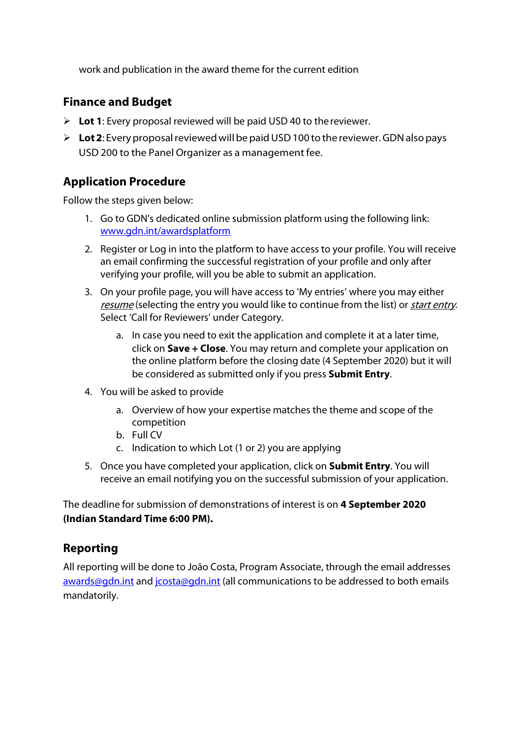work and publication in the award theme for the current edition

### **Finance and Budget**

- **Lot 1**: Every proposal reviewed will be paid USD 40 to thereviewer.
- $\triangleright$  Lot 2: Every proposal reviewed will be paid USD 100 to the reviewer. GDN also pays USD 200 to the Panel Organizer as a management fee.

#### **Application Procedure**

Follow the steps given below:

- 1. Go to GDN's dedicated online submission platform using the following link: [www.gdn.int/awardsplatform](http://www.gdn.int/awardsplatform)
- 2. Register or Log in into the platform to have access to your profile. You will receive an email confirming the successful registration of your profile and only after verifying your profile, will you be able to submit an application.
- 3. On your profile page, you will have access to 'My entries' where you may either resume (selecting the entry you would like to continue from the list) or *start entry*. Select 'Call for Reviewers' under Category.
	- a. In case you need to exit the application and complete it at a later time, click on **Save + Close**. You may return and complete your application on the online platform before the closing date (4 September 2020) but it will be considered as submitted only if you press **Submit Entry**.
- 4. You will be asked to provide
	- a. Overview of how your expertise matches the theme and scope of the competition
	- b. Full CV
	- c. Indication to which Lot (1 or 2) you are applying
- 5. Once you have completed your application, click on **Submit Entry**. You will receive an email notifying you on the successful submission of your application.

The deadline for submission of demonstrations of interest is on **4 September 2020 (Indian Standard Time 6:00 PM).**

### **Reporting**

All reporting will be done to João Costa, Program Associate, through the email addresses [awards@gdn.int](mailto:awards@gdn.int) and [jcosta@gdn.int](mailto:jcosta@gdn.int) (all communications to be addressed to both emails mandatorily.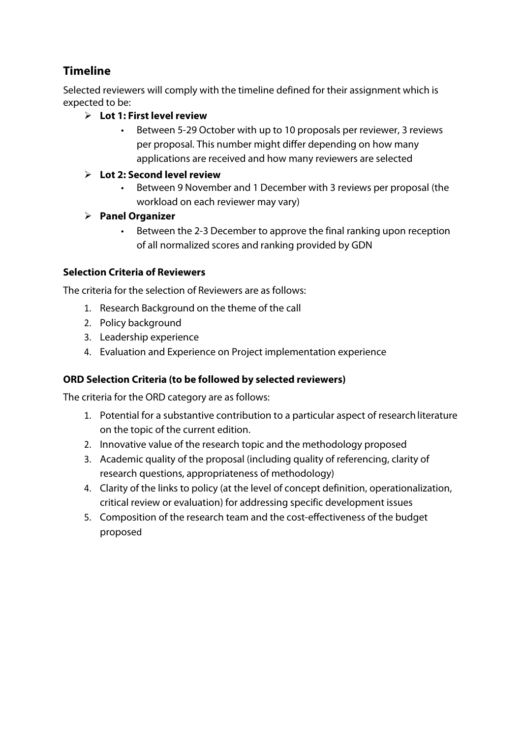# **Timeline**

Selected reviewers will comply with the timeline defined for their assignment which is expected to be:

- **Lot 1: First level review**
	- Between 5-29 October with up to 10 proposals per reviewer, 3 reviews per proposal. This number might differ depending on how many applications are received and how many reviewers are selected
- **Lot 2: Second level review**
	- Between 9 November and 1 December with 3 reviews per proposal (the workload on each reviewer may vary)
- **Panel Organizer**
	- Between the 2-3 December to approve the final ranking upon reception of all normalized scores and ranking provided by GDN

#### **Selection Criteria of Reviewers**

The criteria for the selection of Reviewers are as follows:

- 1. Research Background on the theme of the call
- 2. Policy background
- 3. Leadership experience
- 4. Evaluation and Experience on Project implementation experience

#### **ORD Selection Criteria (to be followed by selected reviewers)**

The criteria for the ORD category are as follows:

- 1. Potential for a substantive contribution to a particular aspect of research literature on the topic of the current edition.
- 2. Innovative value of the research topic and the methodology proposed
- 3. Academic quality of the proposal (including quality of referencing, clarity of research questions, appropriateness of methodology)
- 4. Clarity of the links to policy (at the level of concept definition, operationalization, critical review or evaluation) for addressing specific development issues
- 5. Composition of the research team and the cost-effectiveness of the budget proposed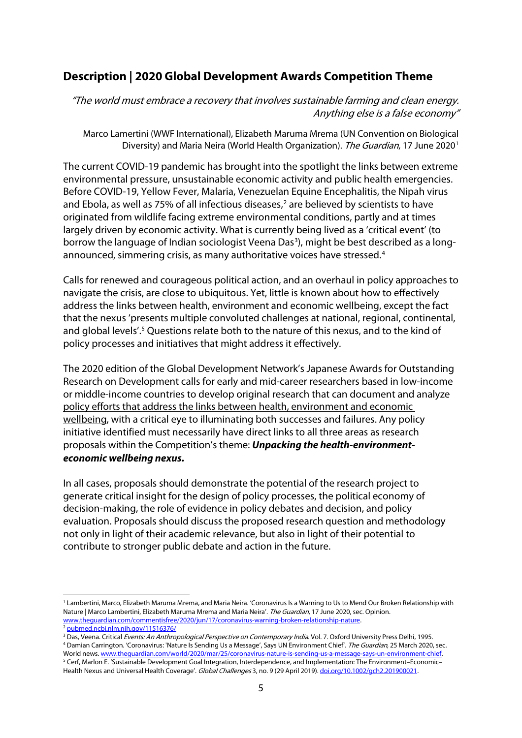### **Description | 2020 Global Development Awards Competition Theme**

"The world must embrace a recovery that involves sustainable farming and clean energy. Anything else is a false economy"

Marco Lamertini (WWF International), Elizabeth Maruma Mrema (UN Convention on Biological Diversity) and Maria Neira (World Health Organization). The Guardian, [1](#page-4-0)7 June 2020<sup>1</sup>

The current COVID-19 pandemic has brought into the spotlight the links between extreme environmental pressure, unsustainable economic activity and public health emergencies. Before COVID-19, Yellow Fever, Malaria, Venezuelan Equine Encephalitis, the Nipah virus and Ebola, as well as 75% of all infectious diseases, $2$  are believed by scientists to have originated from wildlife facing extreme environmental conditions, partly and at times largely driven by economic activity. What is currently being lived as a 'critical event' (to borrow the language of Indian sociologist Veena Das<sup>[3](#page-4-2)</sup>), might be best described as a long-announced, simmering crisis, as many authoritative voices have stressed.<sup>[4](#page-4-3)</sup>

Calls for renewed and courageous political action, and an overhaul in policy approaches to navigate the crisis, are close to ubiquitous. Yet, little is known about how to effectively address the links between health, environment and economic wellbeing, except the fact that the nexus 'presents multiple convoluted challenges at national, regional, continental, and global levels'.<sup>[5](#page-4-4)</sup> Questions relate both to the nature of this nexus, and to the kind of policy processes and initiatives that might address it effectively.

The 2020 edition of the Global Development Network's Japanese Awards for Outstanding Research on Development calls for early and mid-career researchers based in low-income or middle-income countries to develop original research that can document and analyze policy efforts that address the links between health, environment and economic wellbeing, with a critical eye to illuminating both successes and failures. Any policy initiative identified must necessarily have direct links to all three areas as research proposals within the Competition's theme: *Unpacking the health-environmenteconomic wellbeing nexus.*

In all cases, proposals should demonstrate the potential of the research project to generate critical insight for the design of policy processes, the political economy of decision-making, the role of evidence in policy debates and decision, and policy evaluation. Proposals should discuss the proposed research question and methodology not only in light of their academic relevance, but also in light of their potential to contribute to stronger public debate and action in the future.

 $\overline{a}$ 

<span id="page-4-0"></span><sup>&</sup>lt;sup>1</sup> Lambertini, Marco, Elizabeth Maruma Mrema, and Maria Neira. 'Coronavirus Is a Warning to Us to Mend Our Broken Relationship with Nature | Marco Lambertini, Elizabeth Maruma Mrema and Maria Neira'. The Guardian, 17 June 2020, sec. Opinion. [www.theguardian.com/commentisfree/2020/jun/17/coronavirus-warning-broken-relationship-nature.](http://www.theguardian.com/commentisfree/2020/jun/17/coronavirus-warning-broken-relationship-nature) <sup>2</sup> pubmed.ncbi.nlm.nih.gov/11516376/

<span id="page-4-3"></span><span id="page-4-2"></span><span id="page-4-1"></span><sup>&</sup>lt;sup>3</sup> Das, Veena. Critical Events: An Anthropological Perspective on Contemporary India. Vol. 7. Oxford University Press Delhi, 1995. <sup>4</sup> Damian Carrington. 'Coronavirus: 'Nature Is Sending Us a Message', Says UN Environment Chief'. The Guardian, 25 March 2020, sec. World news[. www.theguardian.com/world/2020/mar/25/coronavirus-nature-is-sending-us-a-message-says-un-environment-chief.](http://www.theguardian.com/world/2020/mar/25/coronavirus-nature-is-sending-us-a-message-says-un-environment-chief) <sup>5</sup> Cerf, Marlon E. 'Sustainable Development Goal Integration, Interdependence, and Implementation: The Environment–Economic–

<span id="page-4-4"></span>Health Nexus and Universal Health Coverage'. Global Challenges 3, no. 9 (29 April 2019)[. doi.org/10.1002/gch2.201900021.](https://doi.org/10.1002/gch2.201900021)